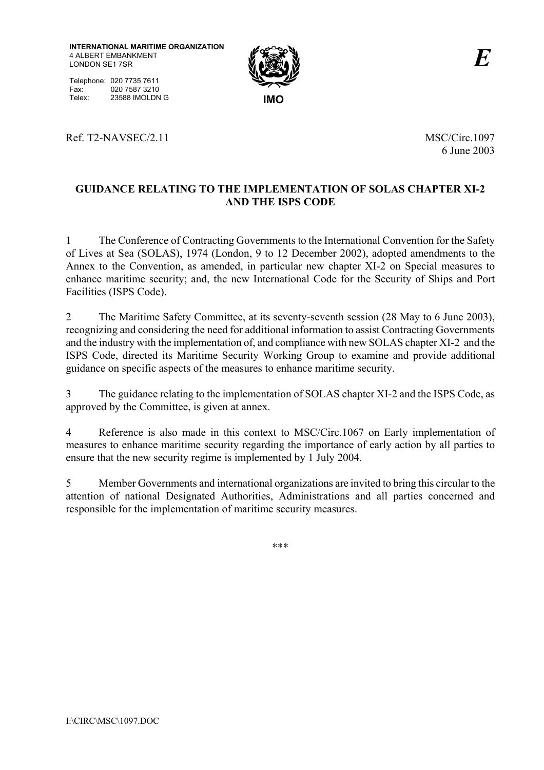**INTERNATIONAL MARITIME ORGANIZATION** 4 ALBERT EMBANKMENT LONDON SE1 7SR





6 June 2003

## **GUIDANCE RELATING TO THE IMPLEMENTATION OF SOLAS CHAPTER XI-2 AND THE ISPS CODE**

1 The Conference of Contracting Governments to the International Convention for the Safety of Lives at Sea (SOLAS), 1974 (London, 9 to 12 December 2002), adopted amendments to the Annex to the Convention, as amended, in particular new chapter XI-2 on Special measures to enhance maritime security; and, the new International Code for the Security of Ships and Port Facilities (ISPS Code).

2 The Maritime Safety Committee, at its seventy-seventh session (28 May to 6 June 2003), recognizing and considering the need for additional information to assist Contracting Governments and the industry with the implementation of, and compliance with new SOLAS chapter XI-2 and the ISPS Code, directed its Maritime Security Working Group to examine and provide additional guidance on specific aspects of the measures to enhance maritime security.

3 The guidance relating to the implementation of SOLAS chapter XI-2 and the ISPS Code, as approved by the Committee, is given at annex.

4 Reference is also made in this context to MSC/Circ.1067 on Early implementation of measures to enhance maritime security regarding the importance of early action by all parties to ensure that the new security regime is implemented by 1 July 2004.

5 Member Governments and international organizations are invited to bring this circular to the attention of national Designated Authorities, Administrations and all parties concerned and responsible for the implementation of maritime security measures.

\*\*\*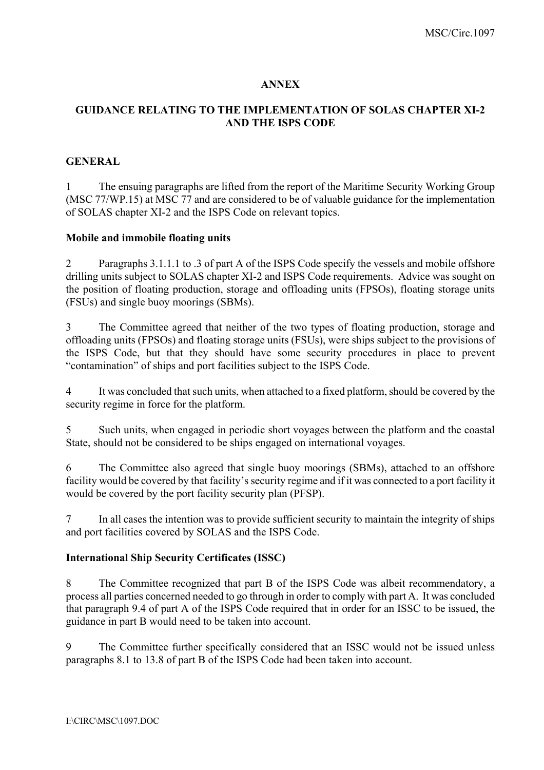#### **ANNEX**

### **GUIDANCE RELATING TO THE IMPLEMENTATION OF SOLAS CHAPTER XI-2 AND THE ISPS CODE**

#### **GENERAL**

1 The ensuing paragraphs are lifted from the report of the Maritime Security Working Group (MSC 77/WP.15) at MSC 77 and are considered to be of valuable guidance for the implementation of SOLAS chapter XI-2 and the ISPS Code on relevant topics.

#### **Mobile and immobile floating units**

2 Paragraphs 3.1.1.1 to .3 of part A of the ISPS Code specify the vessels and mobile offshore drilling units subject to SOLAS chapter XI-2 and ISPS Code requirements. Advice was sought on the position of floating production, storage and offloading units (FPSOs), floating storage units (FSUs) and single buoy moorings (SBMs).

3 The Committee agreed that neither of the two types of floating production, storage and offloading units (FPSOs) and floating storage units (FSUs), were ships subject to the provisions of the ISPS Code, but that they should have some security procedures in place to prevent ìcontaminationî of ships and port facilities subject to the ISPS Code.

4 It was concluded that such units, when attached to a fixed platform, should be covered by the security regime in force for the platform.

5 Such units, when engaged in periodic short voyages between the platform and the coastal State, should not be considered to be ships engaged on international voyages.

6 The Committee also agreed that single buoy moorings (SBMs), attached to an offshore facility would be covered by that facility's security regime and if it was connected to a port facility it would be covered by the port facility security plan (PFSP).

7 In all cases the intention was to provide sufficient security to maintain the integrity of ships and port facilities covered by SOLAS and the ISPS Code.

#### **International Ship Security Certificates (ISSC)**

8 The Committee recognized that part B of the ISPS Code was albeit recommendatory, a process all parties concerned needed to go through in order to comply with part A. It was concluded that paragraph 9.4 of part A of the ISPS Code required that in order for an ISSC to be issued, the guidance in part B would need to be taken into account.

9 The Committee further specifically considered that an ISSC would not be issued unless paragraphs 8.1 to 13.8 of part B of the ISPS Code had been taken into account.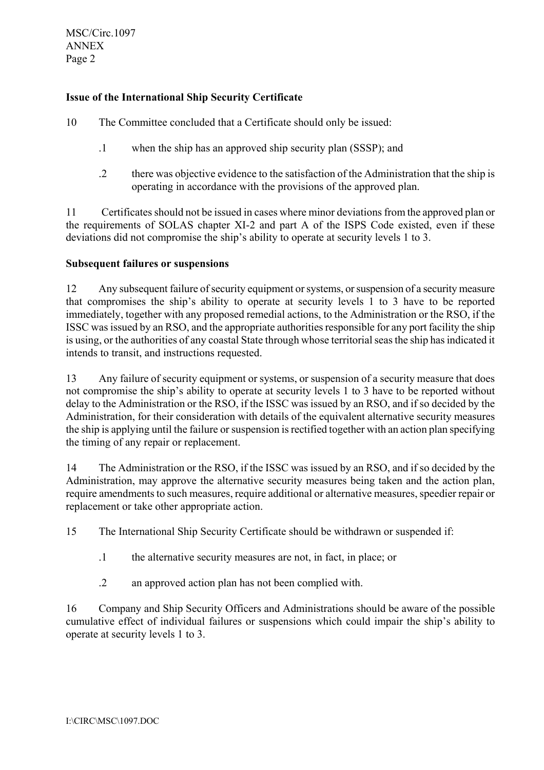MSC/Circ.1097 ANNEX Page 2

# **Issue of the International Ship Security Certificate**

10 The Committee concluded that a Certificate should only be issued:

- .1 when the ship has an approved ship security plan (SSSP); and
- .2 there was objective evidence to the satisfaction of the Administration that the ship is operating in accordance with the provisions of the approved plan.

11 Certificates should not be issued in cases where minor deviations from the approved plan or the requirements of SOLAS chapter XI-2 and part A of the ISPS Code existed, even if these deviations did not compromise the ship's ability to operate at security levels 1 to 3.

## **Subsequent failures or suspensions**

12 Any subsequent failure of security equipment or systems, or suspension of a security measure that compromises the ship's ability to operate at security levels 1 to 3 have to be reported immediately, together with any proposed remedial actions, to the Administration or the RSO, if the ISSC was issued by an RSO, and the appropriate authorities responsible for any port facility the ship is using, or the authorities of any coastal State through whose territorial seas the ship has indicated it intends to transit, and instructions requested.

13 Any failure of security equipment or systems, or suspension of a security measure that does not compromise the ship's ability to operate at security levels 1 to 3 have to be reported without delay to the Administration or the RSO, if the ISSC was issued by an RSO, and if so decided by the Administration, for their consideration with details of the equivalent alternative security measures the ship is applying until the failure or suspension is rectified together with an action plan specifying the timing of any repair or replacement.

14 The Administration or the RSO, if the ISSC was issued by an RSO, and if so decided by the Administration, may approve the alternative security measures being taken and the action plan, require amendments to such measures, require additional or alternative measures, speedier repair or replacement or take other appropriate action.

15 The International Ship Security Certificate should be withdrawn or suspended if:

- .1 the alternative security measures are not, in fact, in place; or
- .2 an approved action plan has not been complied with.

16 Company and Ship Security Officers and Administrations should be aware of the possible cumulative effect of individual failures or suspensions which could impair the ship's ability to operate at security levels 1 to 3.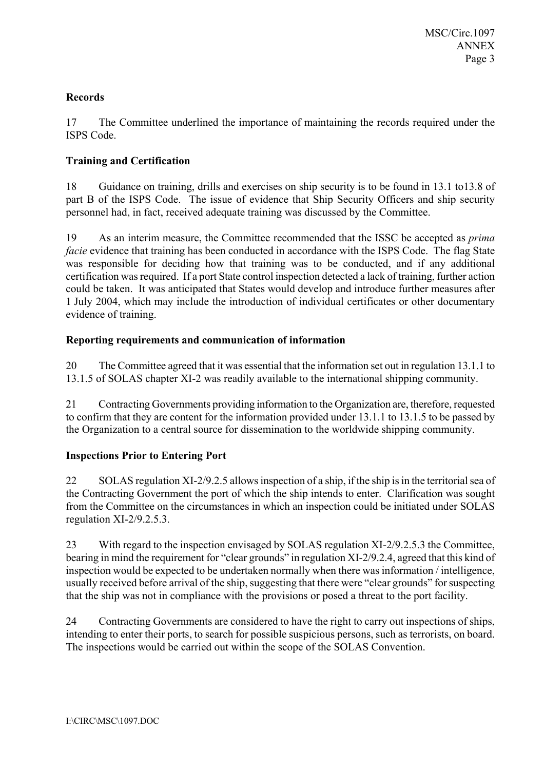# **Records**

17 The Committee underlined the importance of maintaining the records required under the ISPS Code.

## **Training and Certification**

18 Guidance on training, drills and exercises on ship security is to be found in 13.1 to13.8 of part B of the ISPS Code. The issue of evidence that Ship Security Officers and ship security personnel had, in fact, received adequate training was discussed by the Committee.

19 As an interim measure, the Committee recommended that the ISSC be accepted as *prima facie* evidence that training has been conducted in accordance with the ISPS Code. The flag State was responsible for deciding how that training was to be conducted, and if any additional certification was required. If a port State control inspection detected a lack of training, further action could be taken. It was anticipated that States would develop and introduce further measures after 1 July 2004, which may include the introduction of individual certificates or other documentary evidence of training.

# **Reporting requirements and communication of information**

20 The Committee agreed that it was essential that the information set out in regulation 13.1.1 to 13.1.5 of SOLAS chapter XI-2 was readily available to the international shipping community.

21 Contracting Governments providing information to the Organization are, therefore, requested to confirm that they are content for the information provided under 13.1.1 to 13.1.5 to be passed by the Organization to a central source for dissemination to the worldwide shipping community.

# **Inspections Prior to Entering Port**

22 SOLAS regulation XI-2/9.2.5 allows inspection of a ship, if the ship is in the territorial sea of the Contracting Government the port of which the ship intends to enter. Clarification was sought from the Committee on the circumstances in which an inspection could be initiated under SOLAS regulation XI-2/9.2.5.3.

23 With regard to the inspection envisaged by SOLAS regulation XI-2/9.2.5.3 the Committee, bearing in mind the requirement for "clear grounds" in regulation XI-2/9.2.4, agreed that this kind of inspection would be expected to be undertaken normally when there was information / intelligence, usually received before arrival of the ship, suggesting that there were "clear grounds" for suspecting that the ship was not in compliance with the provisions or posed a threat to the port facility.

24 Contracting Governments are considered to have the right to carry out inspections of ships, intending to enter their ports, to search for possible suspicious persons, such as terrorists, on board. The inspections would be carried out within the scope of the SOLAS Convention.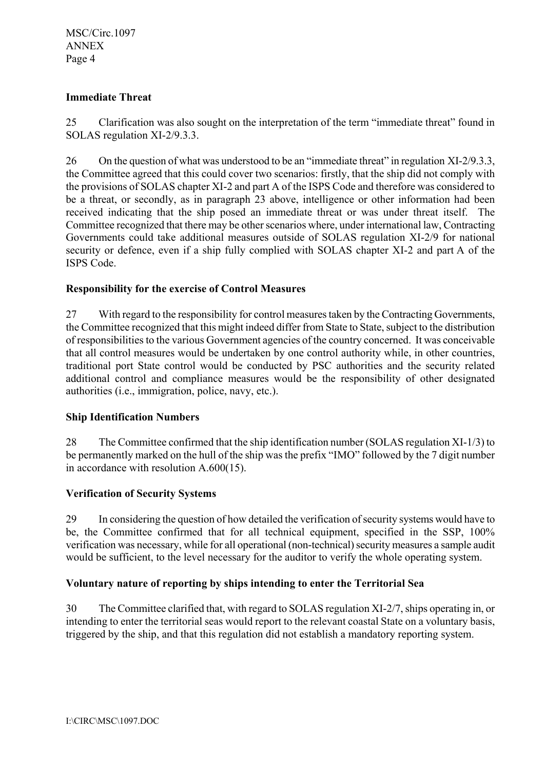# **Immediate Threat**

25 Clarification was also sought on the interpretation of the term "immediate threat" found in SOLAS regulation XI-2/9.3.3.

26 On the question of what was understood to be an "immediate threat" in regulation  $XI-2/9.3.3$ , the Committee agreed that this could cover two scenarios: firstly, that the ship did not comply with the provisions of SOLAS chapter XI-2 and part A of the ISPS Code and therefore was considered to be a threat, or secondly, as in paragraph 23 above, intelligence or other information had been received indicating that the ship posed an immediate threat or was under threat itself. The Committee recognized that there may be other scenarios where, under international law, Contracting Governments could take additional measures outside of SOLAS regulation XI-2/9 for national security or defence, even if a ship fully complied with SOLAS chapter XI-2 and part A of the ISPS Code.

# **Responsibility for the exercise of Control Measures**

27 With regard to the responsibility for control measures taken by the Contracting Governments, the Committee recognized that this might indeed differ from State to State, subject to the distribution of responsibilities to the various Government agencies of the country concerned. It was conceivable that all control measures would be undertaken by one control authority while, in other countries, traditional port State control would be conducted by PSC authorities and the security related additional control and compliance measures would be the responsibility of other designated authorities (i.e., immigration, police, navy, etc.).

## **Ship Identification Numbers**

28 The Committee confirmed that the ship identification number (SOLAS regulation XI-1/3) to be permanently marked on the hull of the ship was the prefix "IMO" followed by the 7 digit number in accordance with resolution A.600(15).

## **Verification of Security Systems**

29 In considering the question of how detailed the verification of security systems would have to be, the Committee confirmed that for all technical equipment, specified in the SSP, 100% verification was necessary, while for all operational (non-technical) security measures a sample audit would be sufficient, to the level necessary for the auditor to verify the whole operating system.

## **Voluntary nature of reporting by ships intending to enter the Territorial Sea**

30 The Committee clarified that, with regard to SOLAS regulation XI-2/7, ships operating in, or intending to enter the territorial seas would report to the relevant coastal State on a voluntary basis, triggered by the ship, and that this regulation did not establish a mandatory reporting system.